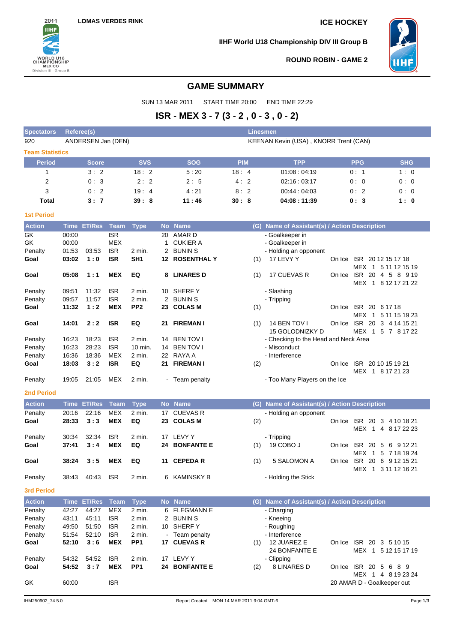

**IIHF World U18 Championship DIV III Group B**



**ROUND ROBIN - GAME 2**

## **GAME SUMMARY**

SUN 13 MAR 2011 START TIME 20:00 END TIME 22:29

# **ISR - MEX 3 - 7 (3 - 2 , 0 - 3 , 0 - 2)**

| <b>Spectators</b><br>920 | <b>Referee(s)</b> | ANDERSEN Jan (DEN) |             |                 |           |                                           |            |     | <b>Linesmen</b><br>KEENAN Kevin (USA), KNORR Trent (CAN) |                                               |                                                   |
|--------------------------|-------------------|--------------------|-------------|-----------------|-----------|-------------------------------------------|------------|-----|----------------------------------------------------------|-----------------------------------------------|---------------------------------------------------|
| <b>Team Statistics</b>   |                   |                    |             |                 |           |                                           |            |     |                                                          |                                               |                                                   |
| <b>Period</b>            |                   | <b>Score</b>       |             | <b>SVS</b>      |           | <b>SOG</b>                                | <b>PIM</b> |     | <b>TPP</b>                                               | <b>PPG</b>                                    | <b>SHG</b>                                        |
| 1                        |                   | 3:2                |             | 18:2            |           | 5:20                                      | 18:4       |     | 01:08:04:19                                              | 0:1                                           | 1:0                                               |
| 2                        |                   | 0:3                |             | 2:2             |           | 2:5                                       | 4:2        |     | 02:16:03:17                                              | 0:0                                           | 0:0                                               |
| 3                        |                   | 0:2                |             | 19:4            |           | 4:21                                      | 8:2        |     | 00:44:04:03                                              | 0:2                                           | 0:0                                               |
| <b>Total</b>             |                   | 3:7                |             | 39:8            |           | 11:46                                     | 30:8       |     | 04:08:11:39                                              | 0:3                                           | 1:0                                               |
| <b>1st Period</b>        |                   |                    |             |                 |           |                                           |            |     |                                                          |                                               |                                                   |
| <b>Action</b>            | <b>Time</b>       | <b>ET/Res</b>      | Team        | <b>Type</b>     | <b>No</b> | <b>Name</b>                               |            | (G) | Name of Assistant(s) / Action Description                |                                               |                                                   |
| GK                       | 00:00             |                    | <b>ISR</b>  |                 | 20        | <b>AMARD</b>                              |            |     | - Goalkeeper in                                          |                                               |                                                   |
| GK                       | 00:00             |                    | MEX         |                 | 1         | <b>CUKIER A</b>                           |            |     | - Goalkeeper in                                          |                                               |                                                   |
| Penalty                  | 01:53             | 03:53              | <b>ISR</b>  | 2 min.          | 2         | <b>BUNIN S</b>                            |            |     | - Holding an opponent                                    |                                               |                                                   |
| Goal                     | 03:02             | 1:0                | <b>ISR</b>  | SH <sub>1</sub> |           | <b>12 ROSENTHAL Y</b>                     |            | (1) | 17 LEVY Y                                                | On Ice ISR 2012 15 17 18                      |                                                   |
|                          |                   |                    |             |                 |           |                                           |            |     |                                                          |                                               | MEX 1 5 11 12 15 19                               |
| Goal                     | 05:08             | 1:1                | <b>MEX</b>  | EQ              |           | 8 LINARES D                               |            | (1) | 17 CUEVAS R                                              |                                               | On Ice ISR 20 4 5 8 9 19                          |
| Penalty                  | 09:51             | 11:32              | <b>ISR</b>  | 2 min.          |           | 10 SHERFY                                 |            |     | - Slashing                                               |                                               | MEX 1 8 12 17 21 22                               |
| Penalty                  | 09:57             | 11:57              | <b>ISR</b>  | 2 min.          |           | 2 BUNIN S                                 |            |     | - Tripping                                               |                                               |                                                   |
| Goal                     | 11:32             | 1:2                | <b>MEX</b>  | PP <sub>2</sub> |           | 23 COLAS M                                |            | (1) |                                                          | On Ice ISR 20 6 17 18                         |                                                   |
|                          |                   |                    |             |                 |           |                                           |            |     |                                                          |                                               | MEX 1 5 11 15 19 23                               |
| Goal                     | 14:01             | 2:2                | <b>ISR</b>  | EQ              |           | 21 FIREMAN I                              |            | (1) | 14 BEN TOV I                                             |                                               | On Ice ISR 20 3 4 14 15 21                        |
|                          |                   |                    |             |                 |           |                                           |            |     | 15 GOLODNIZKY D                                          |                                               | MEX 1 5 7 8 17 22                                 |
| Penalty                  | 16:23             | 18:23              | <b>ISR</b>  | 2 min.          |           | 14 BEN TOV I                              |            |     | - Checking to the Head and Neck Area                     |                                               |                                                   |
| Penalty                  | 16:23             | 28:23              | <b>ISR</b>  | 10 min.         |           | 14 BEN TOV I                              |            |     | - Misconduct                                             |                                               |                                                   |
| Penalty                  | 16:36             | 18:36              | MEX         | 2 min.          |           | 22 RAYA A                                 |            |     | - Interference                                           |                                               |                                                   |
| Goal                     | 18:03             | 3:2                | <b>ISR</b>  | EQ              |           | 21 FIREMAN I                              |            | (2) |                                                          | On Ice ISR 20 10 15 19 21<br>MEX 1 8 17 21 23 |                                                   |
| Penalty                  | 19:05             | 21:05              | MEX         | 2 min.          |           | - Team penalty                            |            |     | - Too Many Players on the Ice                            |                                               |                                                   |
| <b>2nd Period</b>        |                   |                    |             |                 |           |                                           |            |     |                                                          |                                               |                                                   |
| <b>Action</b>            | <b>Time</b>       | <b>ET/Res</b>      | <b>Team</b> | <b>Type</b>     |           | No Name                                   |            | (G) | Name of Assistant(s) / Action Description                |                                               |                                                   |
| Penalty                  | 20:16             | 22:16              | <b>MEX</b>  | 2 min.          | 17        | <b>CUEVAS R</b>                           |            |     | - Holding an opponent                                    |                                               |                                                   |
| Goal                     | 28:33             | 3:3                | <b>MEX</b>  | EQ              |           | 23 COLAS M                                |            | (2) |                                                          | On Ice ISR 20                                 | 3 4 10 18 21                                      |
|                          |                   |                    |             |                 |           |                                           |            |     |                                                          | MEX 1                                         | 4 8 17 22 23                                      |
| Penalty                  | 30:34             | 32:34              | <b>ISR</b>  | 2 min.          |           | 17 LEVY Y                                 |            |     | - Tripping                                               |                                               |                                                   |
| Goal                     | 37:41             | 3:4                | <b>MEX</b>  | EQ              |           | 24 BONFANTE E                             |            | (1) | 19 COBO J                                                | On Ice ISR 20<br>- 5                          | 6 9 1 2 2 1                                       |
|                          |                   |                    |             |                 |           |                                           |            |     |                                                          |                                               | MEX 1 5 7 18 19 24                                |
| Goal                     | 38:24             | 3:5                | <b>MEX</b>  | EQ              |           | 11 CEPEDA R                               |            | (1) | 5 SALOMON A                                              |                                               | On Ice ISR 20 6 9 12 15 21<br>MEX 1 3 11 12 16 21 |
| Penalty                  | 38:43             | 40:43              | <b>ISR</b>  | 2 min.          |           | 6 KAMINSKY B                              |            |     | - Holding the Stick                                      |                                               |                                                   |
| <b>3rd Period</b>        |                   |                    |             |                 |           |                                           |            |     |                                                          |                                               |                                                   |
| <b>Action</b>            |                   | Time ET/Res        | Team        | <b>Type</b>     |           | No Name                                   |            |     | (G) Name of Assistant(s) / Action Description            |                                               |                                                   |
| Penalty                  | 42:27             | 44:27              | MEX         | 2 min.          |           | 6 FLEGMANN E                              |            |     | - Charging                                               |                                               |                                                   |
| Penalty                  | 43:11             | 45:11              | <b>ISR</b>  | 2 min.          |           | 2 BUNIN S                                 |            |     | - Kneeing                                                |                                               |                                                   |
| Penalty                  | 49:50             | 51:50              | <b>ISR</b>  | 2 min.          |           | 10 SHERFY                                 |            |     | - Roughing                                               |                                               |                                                   |
| Penalty                  | 51:54             | 52:10              | <b>ISR</b>  | 2 min.          |           | - Team penalty                            |            |     | - Interference                                           |                                               |                                                   |
| Goal                     | 52:10             | 3:6                | <b>MEX</b>  | PP <sub>1</sub> |           | 17 CUEVAS R                               |            | (1) | 12 JUAREZ E                                              | On Ice ISR 20 3 5 10 15                       |                                                   |
|                          |                   |                    |             |                 |           |                                           |            |     | 24 BONFANTE E                                            |                                               | MEX 1 5 12 15 17 19                               |
| Penalty                  | 54:32             | 54:52              | <b>ISR</b>  | 2 min.          |           | 17 LEVY Y                                 |            |     | - Clipping                                               |                                               |                                                   |
| Goal                     | 54:52             | 3:7                | <b>MEX</b>  | PP <sub>1</sub> |           | 24 BONFANTE E                             |            | (2) | 8 LINARES D                                              | On Ice ISR 20 5 6 8 9                         | MEX 1 4 8 19 23 24                                |
| GK                       | 60:00             |                    | <b>ISR</b>  |                 |           |                                           |            |     |                                                          | 20 AMAR D - Goalkeeper out                    |                                                   |
| IHM250902_74 5.0         |                   |                    |             |                 |           | Report Created MON 14 MAR 2011 9:04 GMT-6 |            |     |                                                          |                                               | Page 1/3                                          |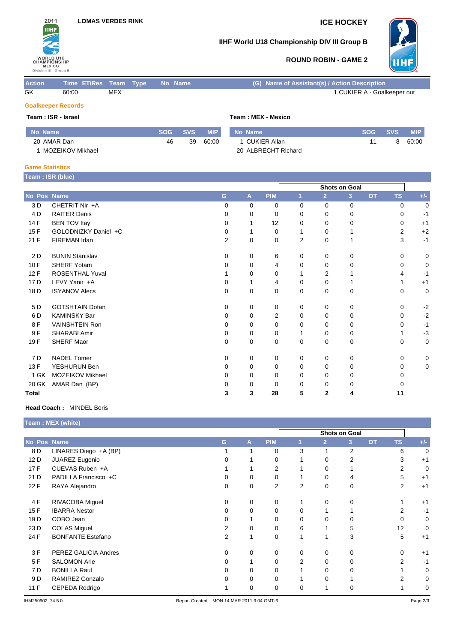

## **IIHF World U18 Championship DIV III Group B**



## **ROUND ROBIN - GAME 2**

| <b>Action</b>             | Time ET/Res Team Type |            |  | No Name | (G) Name of Assistant(s) / Action Description |  |  |  |  |
|---------------------------|-----------------------|------------|--|---------|-----------------------------------------------|--|--|--|--|
| GK                        | 60:00                 | <b>MEX</b> |  |         | 1 CUKIER A - Goalkeeper out                   |  |  |  |  |
| <b>Goalkeeper Records</b> |                       |            |  |         |                                               |  |  |  |  |

## **Team : ISR - Israel Team : MEX - Mexico**

| No Name     |                  | <b>SOG</b> | <b>SVS</b> | <b>MIP</b> | No Name             | <b>SOG</b> | <b>SVS</b> | <b>MIP</b> |
|-------------|------------------|------------|------------|------------|---------------------|------------|------------|------------|
| 20 AMAR Dan |                  | 46         | 39         | 60:00      | CUKIER Allan        |            | 8          | 60:00      |
|             | MOZEIKOV Mikhael |            |            |            | 20 ALBRECHT Richard |            |            |            |

### **Game Statistics**

**Team : ISR (blue)**

|              | $\cdots$               |                |          |             |                      |                |                |           |              |       |
|--------------|------------------------|----------------|----------|-------------|----------------------|----------------|----------------|-----------|--------------|-------|
|              |                        |                |          |             | <b>Shots on Goal</b> |                |                |           |              |       |
| No Pos Name  |                        | G              | A        | <b>PIM</b>  |                      | $\overline{2}$ | 3 <sup>1</sup> | <b>OT</b> | <b>TS</b>    | $+/-$ |
| 3 D          | CHETRIT Nir +A         | $\Omega$       | $\Omega$ | 0           | $\Omega$             | 0              | 0              |           | $\Omega$     | 0     |
| 4 D          | <b>RAITER Denis</b>    | ŋ              | 0        | 0           | 0                    | $\Omega$       | 0              |           | <sup>0</sup> | $-1$  |
| 14 F         | <b>BEN TOV Itay</b>    | 0              |          | 12          | $\Omega$             | $\Omega$       | 0              |           | 0            | $+1$  |
| 15F          | GOLODNIZKY Daniel +C   | 0              |          | 0           |                      | $\Omega$       |                |           | 2            | $+2$  |
| 21 F         | FIREMAN Idan           | $\overline{2}$ | 0        | 0           | 2                    | 0              |                |           | 3            | $-1$  |
| 2 D          | <b>BUNIN Stanislav</b> | $\Omega$       | 0        | 6           | 0                    | 0              | 0              |           | $\Omega$     | 0     |
| 10F          | SHERF Yotam            | O              | 0        | 4           | 0                    | 0              | 0              |           | 0            | 0     |
| 12F          | <b>ROSENTHAL Yuval</b> |                | 0        | $\Omega$    |                      | 2              |                |           | 4            | -1    |
| 17 D         | LEVY Yanir +A          | O              |          | 4           | 0                    | 0              |                |           |              | $+1$  |
| 18 D         | <b>ISYANOV Alecs</b>   | $\Omega$       | 0        | 0           | 0                    | 0              | 0              |           | $\Omega$     | 0     |
| 5 D          | <b>GOTSHTAIN Dotan</b> | 0              | 0        | 0           | 0                    | 0              | 0              |           | 0            | $-2$  |
| 6 D          | <b>KAMINSKY Bar</b>    | 0              | 0        | 2           | 0                    | 0              | 0              |           | 0            | $-2$  |
| 8F           | <b>VAINSHTEIN Ron</b>  | 0              | $\Omega$ | 0           | 0                    | $\Omega$       | 0              |           | $\Omega$     | $-1$  |
| 9F           | SHARABI Amir           | 0              | 0        | $\mathbf 0$ |                      | 0              | 0              |           |              | $-3$  |
| 19F          | <b>SHERF Maor</b>      | 0              | 0        | 0           | 0                    | 0              | 0              |           | 0            | 0     |
| 7 D          | <b>NADEL Tomer</b>     | $\Omega$       | 0        | 0           | 0                    | 0              | 0              |           | $\Omega$     | 0     |
| 13 F         | YESHURUN Ben           | 0              | 0        | $\mathbf 0$ | 0                    | 0              | 0              |           | 0            | 0     |
| 1 GK         | MOZEIKOV Mikhael       | 0              | 0        | $\mathbf 0$ | 0                    | 0              | 0              |           | <sup>0</sup> |       |
| 20 GK        | AMAR Dan (BP)          |                | 0        | $\mathbf 0$ | 0                    | 0              | 0              |           |              |       |
| <b>Total</b> |                        | 3              | 3        | 28          | 5                    | 2              | 4              |           | 11           |       |

## **Head Coach :** MINDEL Boris

|                 | Team : MEX (white)       |   |               |                |          |                |                |           |                |       |  |
|-----------------|--------------------------|---|---------------|----------------|----------|----------------|----------------|-----------|----------------|-------|--|
|                 |                          |   | Shots on Goal |                |          |                |                |           |                |       |  |
| No Pos Name     |                          | G | A             | <b>PIM</b>     |          | $\overline{2}$ | 3              | <b>OT</b> | <b>TS</b>      | $+/-$ |  |
| 8 D             | LINARES Diego +A (BP)    |   |               | 0              | 3        | 1              | $\overline{2}$ |           | 6              | 0     |  |
| 12 D            | JUAREZ Eugenio           |   |               | 0              |          | $\Omega$       | $\overline{2}$ |           | 3              | $+1$  |  |
| 17F             | CUEVAS Ruben +A          |   |               | 2              |          | 0              |                |           | 2              | 0     |  |
| 21 D            | PADILLA Francisco +C     |   | 0             | 0              |          | 0              | 4              |           | 5              | $+1$  |  |
| 22 F            | RAYA Alejandro           | 0 | 0             | $\overline{2}$ | 2        | $\mathbf 0$    | 0              |           | $\overline{2}$ | $+1$  |  |
| 4 F             | RIVACOBA Miguel          | 0 | 0             | 0              |          | $\Omega$       | 0              |           |                | $+1$  |  |
| 15F             | <b>IBARRA Nestor</b>     | 0 | $\Omega$      | 0              | 0        |                |                |           | 2              | $-1$  |  |
| 19 <sub>D</sub> | COBO Jean                |   |               | 0              | 0        | 0              | 0              |           | 0              | 0     |  |
| 23 D            | <b>COLAS Miguel</b>      | 2 | 0             | 0              | 6        |                | 5              |           | 12             | 0     |  |
| 24 F            | <b>BONFANTE Estefano</b> | 2 | $\mathbf 1$   | 0              |          | 1              | 3              |           | 5              | $+1$  |  |
| 3F              | PEREZ GALICIA Andres     | 0 | 0             | 0              | $\Omega$ | 0              | 0              |           | $\Omega$       | $+1$  |  |
| 5F              | <b>SALOMON Arie</b>      |   |               | 0              | 2        | $\Omega$       | $\Omega$       |           | 2              | $-1$  |  |
| 7 D             | <b>BONILLA Raul</b>      |   | 0             | 0              |          | 0              | $\Omega$       |           |                | 0     |  |
| 9 D             | <b>RAMIREZ Gonzalo</b>   |   | 0             | 0              |          | 0              |                |           | 2              | 0     |  |
| 11 F            | CEPEDA Rodrigo           |   | 0             | 0              | 0        | 1              | 0              |           |                | 0     |  |